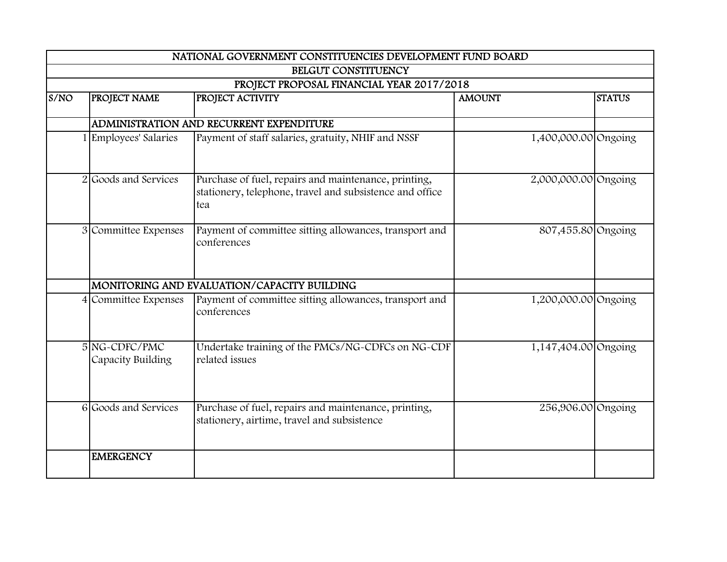|      |                                    | NATIONAL GOVERNMENT CONSTITUENCIES DEVELOPMENT FUND BOARD                                                               |                      |               |
|------|------------------------------------|-------------------------------------------------------------------------------------------------------------------------|----------------------|---------------|
|      |                                    | BELGUT CONSTITUENCY                                                                                                     |                      |               |
|      |                                    | PROJECT PROPOSAL FINANCIAL YEAR 2017/2018                                                                               |                      |               |
| S/NO | PROJECT NAME                       | PROJECT ACTIVITY                                                                                                        | <b>AMOUNT</b>        | <b>STATUS</b> |
|      |                                    |                                                                                                                         |                      |               |
|      |                                    | ADMINISTRATION AND RECURRENT EXPENDITURE                                                                                |                      |               |
|      | 1 Employees' Salaries              | Payment of staff salaries, gratuity, NHIF and NSSF                                                                      | 1,400,000.00 Ongoing |               |
|      | 2 Goods and Services               | Purchase of fuel, repairs and maintenance, printing,<br>stationery, telephone, travel and subsistence and office<br>tea | 2,000,000.00 Ongoing |               |
|      | 3 Committee Expenses               | Payment of committee sitting allowances, transport and<br>conferences                                                   | 807,455.80 Ongoing   |               |
|      |                                    | MONITORING AND EVALUATION/CAPACITY BUILDING                                                                             |                      |               |
|      | 4 Committee Expenses               | Payment of committee sitting allowances, transport and<br>conferences                                                   | 1,200,000.00 Ongoing |               |
|      | 5 NG-CDFC/PMC<br>Capacity Building | Undertake training of the PMCs/NG-CDFCs on NG-CDF<br>related issues                                                     | 1,147,404.00 Ongoing |               |
|      | 6 Goods and Services               | Purchase of fuel, repairs and maintenance, printing,<br>stationery, airtime, travel and subsistence                     | 256,906.00 Ongoing   |               |
|      | <b>EMERGENCY</b>                   |                                                                                                                         |                      |               |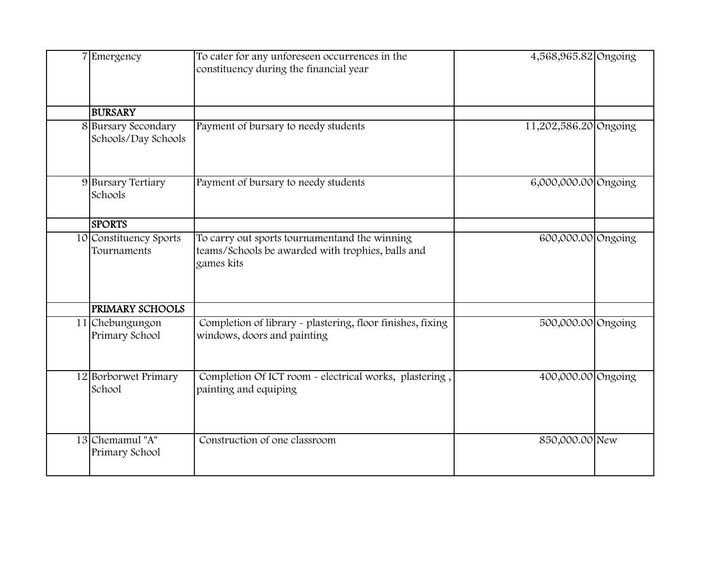| 7 Emergency                                | To cater for any unforeseen occurrences in the<br>constituency during the financial year                         | 4,568,965.82 Ongoing  |  |
|--------------------------------------------|------------------------------------------------------------------------------------------------------------------|-----------------------|--|
| <b>BURSARY</b>                             |                                                                                                                  |                       |  |
| 8 Bursary Secondary<br>Schools/Day Schools | Payment of bursary to needy students                                                                             | 11,202,586.20 Ongoing |  |
| 9 Bursary Tertiary<br>Schools              | Payment of bursary to needy students                                                                             | 6,000,000.00 Ongoing  |  |
| <b>SPORTS</b>                              |                                                                                                                  |                       |  |
| 10 Constituency Sports<br>Tournaments      | To carry out sports tournamentand the winning<br>teams/Schools be awarded with trophies, balls and<br>games kits | 600,000.00 Ongoing    |  |
| <b>PRIMARY SCHOOLS</b>                     |                                                                                                                  |                       |  |
| 11 Chebungungon<br>Primary School          | Completion of library - plastering, floor finishes, fixing<br>windows, doors and painting                        | 500,000.00 Ongoing    |  |
| 12 Borborwet Primary<br>School             | Completion Of ICT room - electrical works, plastering,<br>painting and equiping                                  | 400,000.00 Ongoing    |  |
| 13 Chemamul "A"<br>Primary School          | Construction of one classroom                                                                                    | 850,000.00 New        |  |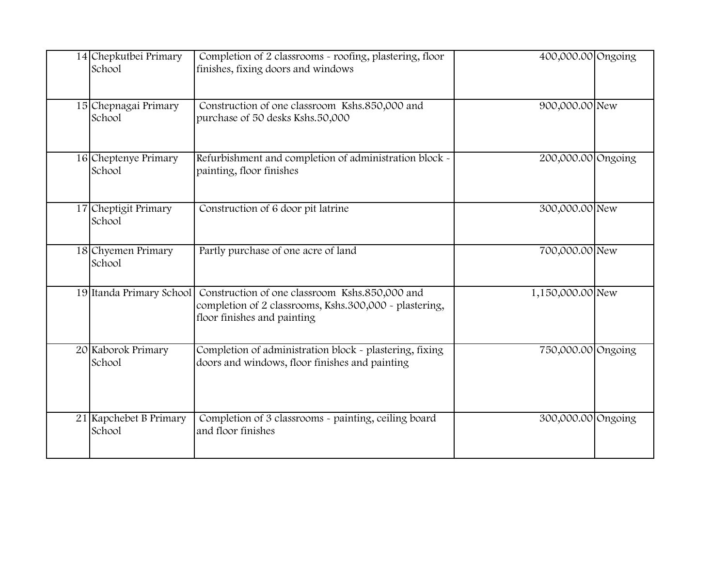| 14 Chepkutbei Primary<br>School  | Completion of 2 classrooms - roofing, plastering, floor<br>finishes, fixing doors and windows                                           | 400,000.00 Ongoing |  |
|----------------------------------|-----------------------------------------------------------------------------------------------------------------------------------------|--------------------|--|
| 15 Chepnagai Primary<br>School   | Construction of one classroom Kshs.850,000 and<br>purchase of 50 desks Kshs.50,000                                                      | 900,000.00 New     |  |
| 16 Cheptenye Primary<br>School   | Refurbishment and completion of administration block -<br>painting, floor finishes                                                      | 200,000.00 Ongoing |  |
| 17 Cheptigit Primary<br>School   | Construction of 6 door pit latrine                                                                                                      | 300,000.00 New     |  |
| 18 Chyemen Primary<br>School     | Partly purchase of one acre of land                                                                                                     | 700,000.00 New     |  |
| 19 Itanda Primary School         | Construction of one classroom Kshs.850,000 and<br>completion of 2 classrooms, Kshs.300,000 - plastering,<br>floor finishes and painting | 1,150,000.00 New   |  |
| 20 Kaborok Primary<br>School     | Completion of administration block - plastering, fixing<br>doors and windows, floor finishes and painting                               | 750,000.00 Ongoing |  |
| 21 Kapchebet B Primary<br>School | Completion of 3 classrooms - painting, ceiling board<br>and floor finishes                                                              | 300,000.00 Ongoing |  |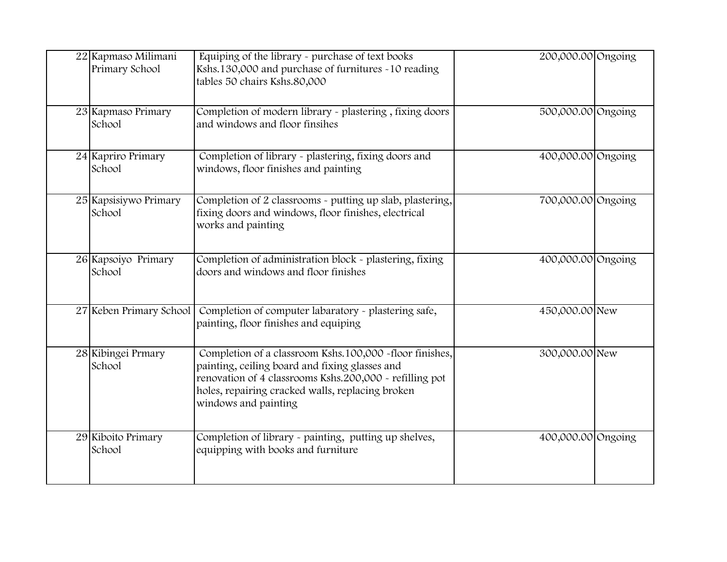| 22 Kapmaso Milimani<br>Primary School | Equiping of the library - purchase of text books<br>Kshs.130,000 and purchase of furnitures ~10 reading<br>tables 50 chairs Kshs.80,000                                                                                                          | 200,000.00 Ongoing |  |
|---------------------------------------|--------------------------------------------------------------------------------------------------------------------------------------------------------------------------------------------------------------------------------------------------|--------------------|--|
| 23 Kapmaso Primary<br>School          | Completion of modern library - plastering, fixing doors<br>and windows and floor finsihes                                                                                                                                                        | 500,000.00 Ongoing |  |
| 24 Kapriro Primary<br>School          | Completion of library - plastering, fixing doors and<br>windows, floor finishes and painting                                                                                                                                                     | 400,000.00 Ongoing |  |
| 25 Kapsisiywo Primary<br>School       | Completion of 2 classrooms - putting up slab, plastering,<br>fixing doors and windows, floor finishes, electrical<br>works and painting                                                                                                          | 700,000.00 Ongoing |  |
| 26 Kapsoiyo Primary<br>School         | Completion of administration block - plastering, fixing<br>doors and windows and floor finishes                                                                                                                                                  | 400,000.00 Ongoing |  |
| 27 Keben Primary School               | Completion of computer labaratory - plastering safe,<br>painting, floor finishes and equiping                                                                                                                                                    | 450,000.00 New     |  |
| 28 Kibingei Prmary<br>School          | Completion of a classroom Kshs.100,000 -floor finishes,<br>painting, ceiling board and fixing glasses and<br>renovation of 4 classrooms Kshs.200,000 - refilling pot<br>holes, repairing cracked walls, replacing broken<br>windows and painting | 300,000.00 New     |  |
| 29 Kiboito Primary<br>School          | Completion of library - painting, putting up shelves,<br>equipping with books and furniture                                                                                                                                                      | 400,000.00 Ongoing |  |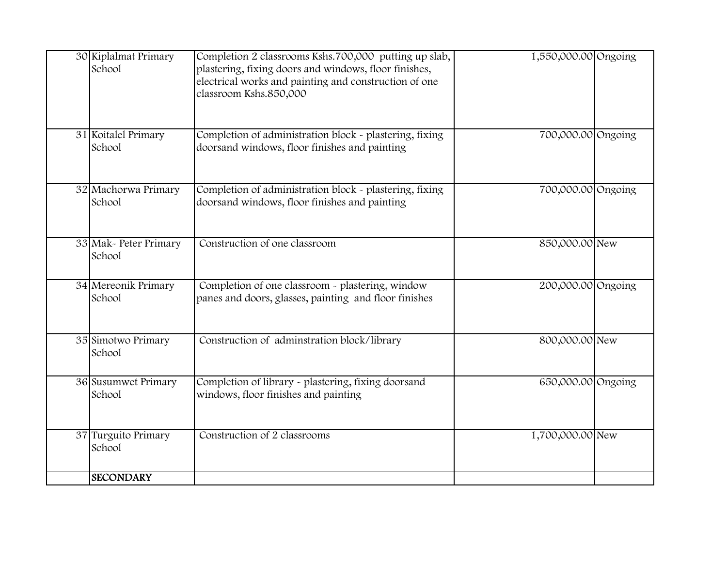| 30 Kiplalmat Primary<br>School   | Completion 2 classrooms Kshs.700,000 putting up slab,<br>plastering, fixing doors and windows, floor finishes,<br>electrical works and painting and construction of one<br>classroom Kshs.850,000 | 1,550,000.00 Ongoing |  |
|----------------------------------|---------------------------------------------------------------------------------------------------------------------------------------------------------------------------------------------------|----------------------|--|
| 31 Koitalel Primary<br>School    | Completion of administration block - plastering, fixing<br>doorsand windows, floor finishes and painting                                                                                          | 700,000.00 Ongoing   |  |
| 32 Machorwa Primary<br>School    | Completion of administration block - plastering, fixing<br>doorsand windows, floor finishes and painting                                                                                          | 700,000.00 Ongoing   |  |
| 33 Mak - Peter Primary<br>School | Construction of one classroom                                                                                                                                                                     | 850,000.00 New       |  |
| 34 Mereonik Primary<br>School    | Completion of one classroom - plastering, window<br>panes and doors, glasses, painting and floor finishes                                                                                         | 200,000.00 Ongoing   |  |
| 35 Simotwo Primary<br>School     | Construction of adminstration block/library                                                                                                                                                       | 800,000.00 New       |  |
| 36 Susumwet Primary<br>School    | Completion of library - plastering, fixing doorsand<br>windows, floor finishes and painting                                                                                                       | 650,000.00 Ongoing   |  |
| 37 Turguito Primary<br>School    | Construction of 2 classrooms                                                                                                                                                                      | 1,700,000.00 New     |  |
| <b>SECONDARY</b>                 |                                                                                                                                                                                                   |                      |  |

SCHOOLS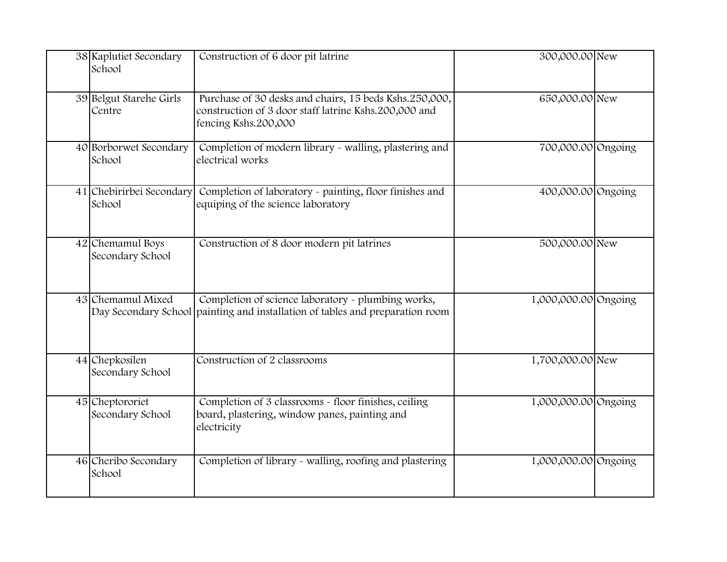| 38 Kaplutiet Secondary<br>School     | Construction of 6 door pit latrine                                                                                                      | 300,000.00 New       |  |
|--------------------------------------|-----------------------------------------------------------------------------------------------------------------------------------------|----------------------|--|
| 39 Belgut Starehe Girls<br>Centre    | Purchase of 30 desks and chairs, 15 beds Kshs.250,000,<br>construction of 3 door staff latrine Kshs.200,000 and<br>fencing Kshs.200,000 | 650,000.00 New       |  |
| 40 Borborwet Secondary<br>School     | Completion of modern library - walling, plastering and<br>electrical works                                                              | 700,000.00 Ongoing   |  |
| 41 Chebirirbei Secondary<br>School   | Completion of laboratory - painting, floor finishes and<br>equiping of the science laboratory                                           | 400,000.00 Ongoing   |  |
| 42 Chemamul Boys<br>Secondary School | Construction of 8 door modern pit latrines                                                                                              | 500,000.00 New       |  |
| 43 Chemamul Mixed                    | Completion of science laboratory - plumbing works,<br>Day Secondary School painting and installation of tables and preparation room     | 1,000,000.00 Ongoing |  |
| 44 Chepkosilen<br>Secondary School   | Construction of 2 classrooms                                                                                                            | 1,700,000.00 New     |  |
| 45 Cheptororiet<br>Secondary School  | Completion of 3 classrooms - floor finishes, ceiling<br>board, plastering, window panes, painting and<br>electricity                    | 1,000,000.00 Ongoing |  |
| 46 Cheribo Secondary<br>School       | Completion of library - walling, roofing and plastering                                                                                 | 1,000,000.00 Ongoing |  |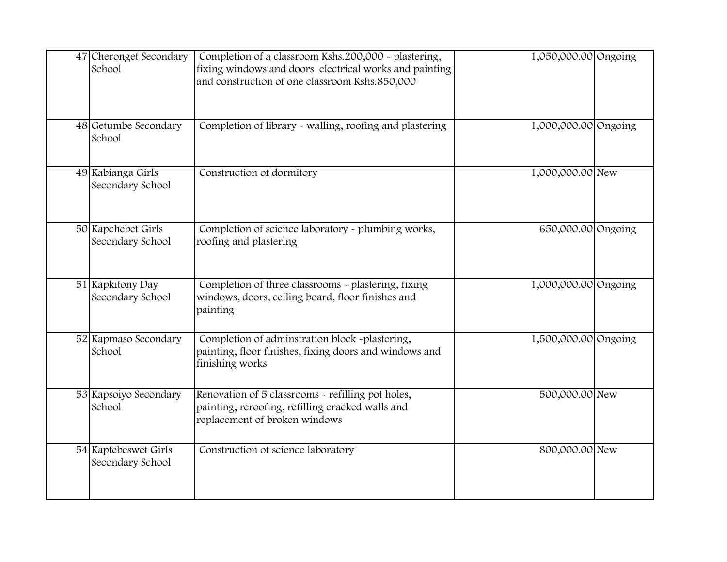| 47 Cheronget Secondary<br>School         | Completion of a classroom Kshs.200,000 - plastering,<br>fixing windows and doors electrical works and painting<br>and construction of one classroom Kshs.850,000 | 1,050,000.00 Ongoing |  |
|------------------------------------------|------------------------------------------------------------------------------------------------------------------------------------------------------------------|----------------------|--|
| 48 Getumbe Secondary<br>School           | Completion of library - walling, roofing and plastering                                                                                                          | 1,000,000.00 Ongoing |  |
| 49 Kabianga Girls<br>Secondary School    | Construction of dormitory                                                                                                                                        | 1,000,000.00 New     |  |
| 50 Kapchebet Girls<br>Secondary School   | Completion of science laboratory - plumbing works,<br>roofing and plastering                                                                                     | 650,000.00 Ongoing   |  |
| 51 Kapkitony Day<br>Secondary School     | Completion of three classrooms - plastering, fixing<br>windows, doors, ceiling board, floor finishes and<br>painting                                             | 1,000,000.00 Ongoing |  |
| 52 Kapmaso Secondary<br>School           | Completion of adminstration block -plastering,<br>painting, floor finishes, fixing doors and windows and<br>finishing works                                      | 1,500,000.00 Ongoing |  |
| 53 Kapsoiyo Secondary<br>School          | Renovation of 5 classrooms - refilling pot holes,<br>painting, reroofing, refilling cracked walls and<br>replacement of broken windows                           | 500,000.00 New       |  |
| 54 Kaptebeswet Girls<br>Secondary School | Construction of science laboratory                                                                                                                               | 800,000.00 New       |  |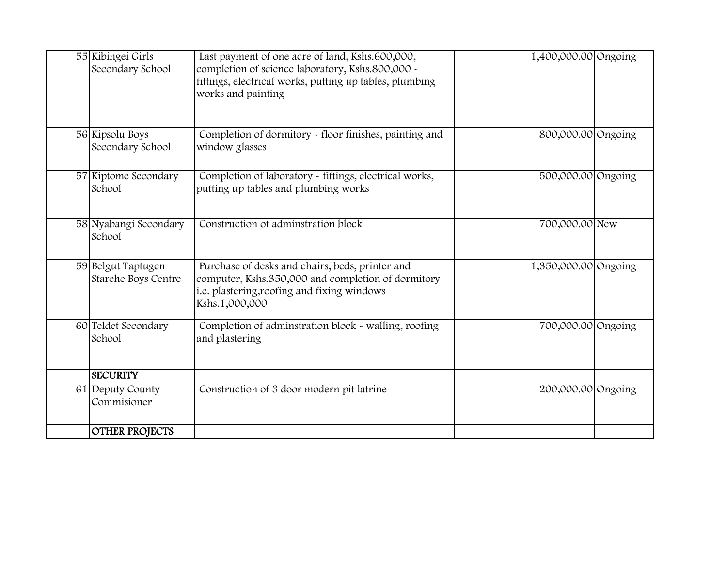| 55 Kibingei Girls<br>Secondary School     | Last payment of one acre of land, Kshs.600,000,<br>completion of science laboratory, Kshs.800,000 -<br>fittings, electrical works, putting up tables, plumbing<br>works and painting | 1,400,000.00 Ongoing |  |
|-------------------------------------------|--------------------------------------------------------------------------------------------------------------------------------------------------------------------------------------|----------------------|--|
| 56 Kipsolu Boys<br>Secondary School       | Completion of dormitory - floor finishes, painting and<br>window glasses                                                                                                             | 800,000.00 Ongoing   |  |
| 57 Kiptome Secondary<br>School            | Completion of laboratory - fittings, electrical works,<br>putting up tables and plumbing works                                                                                       | 500,000.00 Ongoing   |  |
| 58 Nyabangi Secondary<br>School           | Construction of adminstration block                                                                                                                                                  | 700,000.00 New       |  |
| 59 Belgut Taptugen<br>Starehe Boys Centre | Purchase of desks and chairs, beds, printer and<br>computer, Kshs.350,000 and completion of dormitory<br>i.e. plastering, roofing and fixing windows<br>Kshs.1,000,000               | 1,350,000.00 Ongoing |  |
| 60 Teldet Secondary<br>School             | Completion of adminstration block - walling, roofing<br>and plastering                                                                                                               | 700,000.00 Ongoing   |  |
| <b>SECURITY</b>                           |                                                                                                                                                                                      |                      |  |
| 61 Deputy County<br>Commisioner           | Construction of 3 door modern pit latrine                                                                                                                                            | 200,000.00 Ongoing   |  |
| <b>OTHER PROJECTS</b>                     |                                                                                                                                                                                      |                      |  |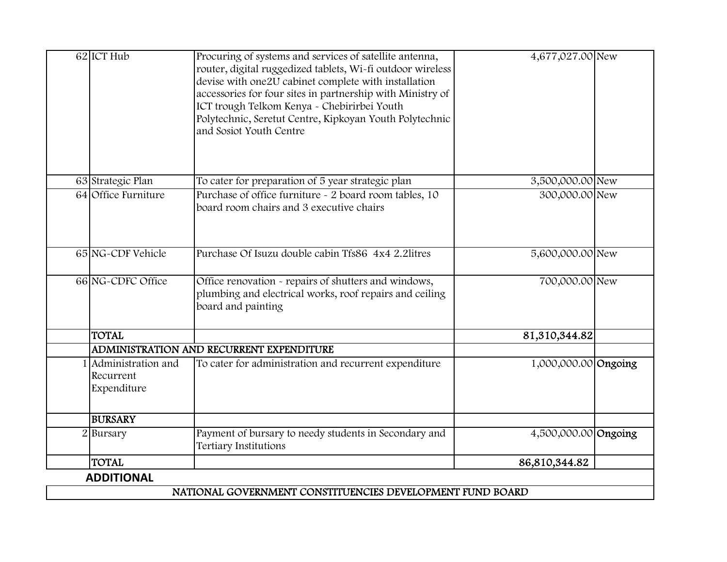| 62 ICT Hub             | Procuring of systems and services of satellite antenna,    | 4,677,027.00 New     |  |
|------------------------|------------------------------------------------------------|----------------------|--|
|                        | router, digital ruggedized tablets, Wi-fi outdoor wireless |                      |  |
|                        | devise with one2U cabinet complete with installation       |                      |  |
|                        | accessories for four sites in partnership with Ministry of |                      |  |
|                        | ICT trough Telkom Kenya - Chebirirbei Youth                |                      |  |
|                        | Polytechnic, Seretut Centre, Kipkoyan Youth Polytechnic    |                      |  |
|                        | and Sosiot Youth Centre                                    |                      |  |
|                        |                                                            |                      |  |
|                        |                                                            |                      |  |
| 63 Strategic Plan      | To cater for preparation of 5 year strategic plan          | 3,500,000.00 New     |  |
| 64 Office Furniture    | Purchase of office furniture - 2 board room tables, 10     | 300,000.00 New       |  |
|                        | board room chairs and 3 executive chairs                   |                      |  |
|                        |                                                            |                      |  |
|                        |                                                            |                      |  |
| 65 NG-CDF Vehicle      | Purchase Of Isuzu double cabin Tfs86 4x4 2.2litres         | 5,600,000.00 New     |  |
|                        |                                                            |                      |  |
| 66 NG-CDFC Office      | Office renovation - repairs of shutters and windows,       | 700,000.00 New       |  |
|                        | plumbing and electrical works, roof repairs and ceiling    |                      |  |
|                        | board and painting                                         |                      |  |
|                        |                                                            |                      |  |
| <b>TOTAL</b>           |                                                            | 81,310,344.82        |  |
|                        | ADMINISTRATION AND RECURRENT EXPENDITURE                   |                      |  |
| Administration and     | To cater for administration and recurrent expenditure      | 1,000,000.00 Ongoing |  |
| Recurrent              |                                                            |                      |  |
| Expenditure            |                                                            |                      |  |
| <b>BURSARY</b>         |                                                            |                      |  |
| $\overline{2}$ Bursary | Payment of bursary to needy students in Secondary and      | 4,500,000.00 Ongoing |  |
|                        | Tertiary Institutions                                      |                      |  |
| <b>TOTAL</b>           |                                                            | 86,810,344.82        |  |
| <b>ADDITIONAL</b>      |                                                            |                      |  |
|                        | NATIONAL GOVERNMENT CONSTITUENCIES DEVELOPMENT FUND BOARD  |                      |  |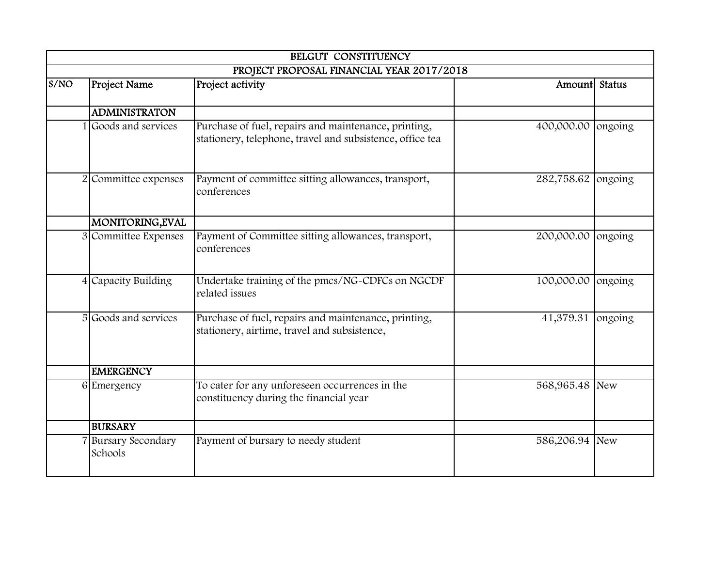|      |                                | BELGUT CONSTITUENCY                                                                                               |                    |         |
|------|--------------------------------|-------------------------------------------------------------------------------------------------------------------|--------------------|---------|
|      |                                | PROJECT PROPOSAL FINANCIAL YEAR 2017/2018                                                                         |                    |         |
| S/NO | <b>Project Name</b>            | Project activity                                                                                                  | Amountl Status     |         |
|      | <b>ADMINISTRATON</b>           |                                                                                                                   |                    |         |
|      | 1 Goods and services           | Purchase of fuel, repairs and maintenance, printing,<br>stationery, telephone, travel and subsistence, office tea | 400,000.00         | ongoing |
|      | 2 Committee expenses           | Payment of committee sitting allowances, transport,<br>conferences                                                | 282,758.62 ongoing |         |
|      | MONITORING, EVAL               |                                                                                                                   |                    |         |
|      | 3 Committee Expenses           | Payment of Committee sitting allowances, transport,<br>conferences                                                | 200,000.00         | ongoing |
|      | 4 Capacity Building            | Undertake training of the pmcs/NG-CDFCs on NGCDF<br>related issues                                                | 100,000.00         | ongoing |
|      | 5 Goods and services           | Purchase of fuel, repairs and maintenance, printing,<br>stationery, airtime, travel and subsistence,              | 41,379.31          | ongoing |
|      | <b>EMERGENCY</b>               |                                                                                                                   |                    |         |
|      | 6 Emergency                    | To cater for any unforeseen occurrences in the<br>constituency during the financial year                          | 568,965.48 New     |         |
|      | <b>BURSARY</b>                 |                                                                                                                   |                    |         |
|      | 7 Bursary Secondary<br>Schools | Payment of bursary to needy student                                                                               | 586,206.94 New     |         |